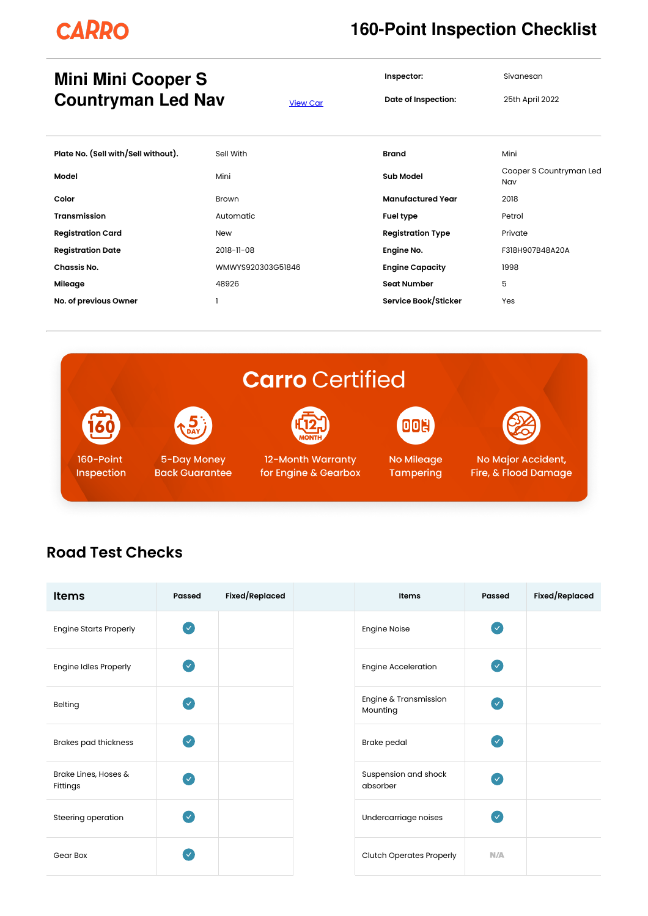# **CARRO**

#### **160-Point Inspection Checklist**

**Inspector:** Sivanesan

**Date of Inspection:** 25th April 2022

#### **Mini Mini Cooper S Countryman Led Nav** [View](https://carro.sg/q/EWYVL2) Car

| Plate No. (Sell with/Sell without). | Sell With         | <b>Brand</b>             | Mini                           |
|-------------------------------------|-------------------|--------------------------|--------------------------------|
| Model                               | Mini              | <b>Sub Model</b>         | Cooper S Countryman Led<br>Nav |
| Color                               | Brown             | <b>Manufactured Year</b> | 2018                           |
| Transmission                        | Automatic         | <b>Fuel type</b>         | Petrol                         |
| <b>Registration Card</b>            | <b>New</b>        | <b>Registration Type</b> | Private                        |
| <b>Registration Date</b>            | 2018-11-08        | Engine No.               | F318H907B48A20A                |
| Chassis No.                         | WMWYS920303G51846 | <b>Engine Capacity</b>   | 1998                           |
| Mileage                             | 48926             | <b>Seat Number</b>       | 5                              |
| No. of previous Owner               |                   | Service Book/Sticker     | Yes                            |



#### **Road Test Checks**

| <b>Items</b>                     | <b>Passed</b> | Fixed/Replaced | Items                             | Passed            | Fixed/Replaced |
|----------------------------------|---------------|----------------|-----------------------------------|-------------------|----------------|
| <b>Engine Starts Properly</b>    | $\sqrt{}$     |                | <b>Engine Noise</b>               | $\overline{\vee}$ |                |
| Engine Idles Properly            | 'V.           |                | <b>Engine Acceleration</b>        | $\overline{\vee}$ |                |
| Belting                          | $\checkmark$  |                | Engine & Transmission<br>Mounting | $\overline{\vee}$ |                |
| <b>Brakes pad thickness</b>      | $\sim$        |                | <b>Brake pedal</b>                | $\overline{\vee}$ |                |
| Brake Lines, Hoses &<br>Fittings | V             |                | Suspension and shock<br>absorber  | $\checkmark$      |                |
| Steering operation               | $\checkmark$  |                | Undercarriage noises              | $\checkmark$      |                |
| Gear Box                         | $\checkmark$  |                | <b>Clutch Operates Properly</b>   | N/A               |                |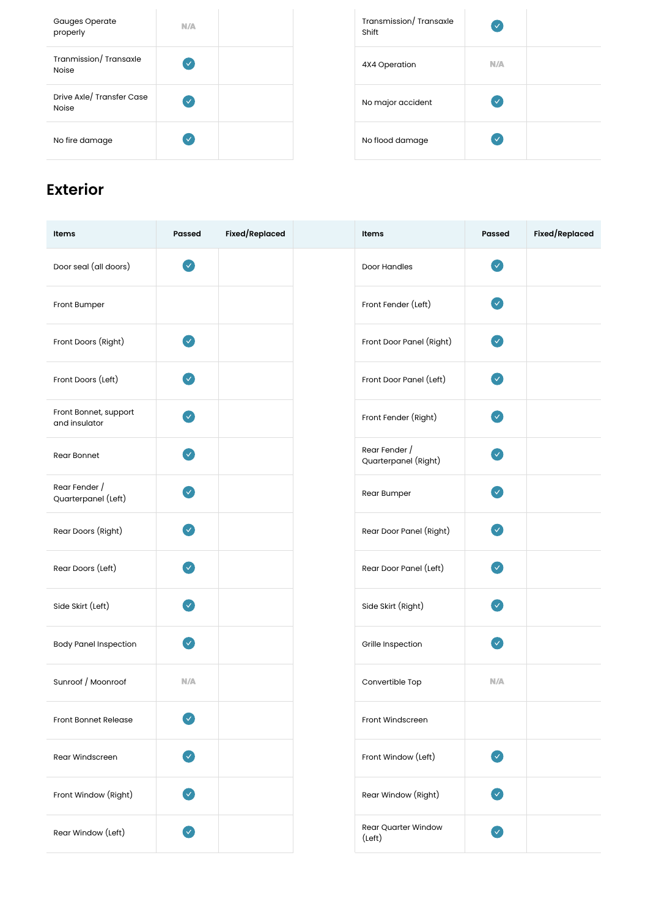| <b>Gauges Operate</b><br>properly         | N/A          | Transmission/Trans<br>Shift |
|-------------------------------------------|--------------|-----------------------------|
| Tranmission/Transaxle<br><b>Noise</b>     | $\checkmark$ | 4X4 Operation               |
| Drive Axle/ Transfer Case<br><b>Noise</b> | $\checkmark$ | No major accident           |
| No fire damage                            | ✓            | No flood damage             |

| Transmission/Transaxle<br>Shift | ✓            |  |
|---------------------------------|--------------|--|
| 4X4 Operation                   | N/A          |  |
| No major accident               | $\checkmark$ |  |
| No flood damage                 |              |  |

## **Exterior**

| Items                                  | <b>Passed</b>         | Fixed/Replaced | Items                                         | <b>Passed</b> | <b>Fixed/Replaced</b> |
|----------------------------------------|-----------------------|----------------|-----------------------------------------------|---------------|-----------------------|
| Door seal (all doors)                  | $\vee$                |                | Door Handles                                  | V             |                       |
| Front Bumper                           |                       |                | Front Fender (Left)                           | V             |                       |
| Front Doors (Right)                    | ✓                     |                | Front Door Panel (Right)                      | $\mathbf{v}$  |                       |
| Front Doors (Left)                     | $\mathcal{L}$         |                | Front Door Panel (Left)                       | $\sim$        |                       |
| Front Bonnet, support<br>and insulator | $\mathbf{v}^{\prime}$ |                | Front Fender (Right)                          | <b>V</b>      |                       |
| Rear Bonnet                            | ✓                     |                | Rear Fender /<br>Quarterpanel (Right)         | $\checkmark$  |                       |
| Rear Fender /<br>Quarterpanel (Left)   | V                     |                | Rear Bumper                                   | V             |                       |
| Rear Doors (Right)                     | ✓                     |                | Rear Door Panel (Right)                       | V             |                       |
| Rear Doors (Left)                      | $\checkmark$          |                | Rear Door Panel (Left)                        | $\mathcal{S}$ |                       |
| Side Skirt (Left)                      | ✓                     |                | Side Skirt (Right)                            | ✓             |                       |
| <b>Body Panel Inspection</b>           | $\mathcal{S}$         |                | Grille Inspection                             | $\checkmark$  |                       |
| Sunroof / Moonroof                     | N/A                   |                | Convertible Top                               | N/A           |                       |
| <b>Front Bonnet Release</b>            | $\checkmark$          |                | Front Windscreen                              |               |                       |
| Rear Windscreen                        | Ø                     |                | Front Window (Left)                           | $\bullet$     |                       |
| Front Window (Right)                   | $\bullet$             |                | Rear Window (Right)                           | $\bullet$     |                       |
| Rear Window (Left)                     | $\bullet$             |                | <b>Rear Quarter Window</b><br>$(\text{Left})$ | Ø             |                       |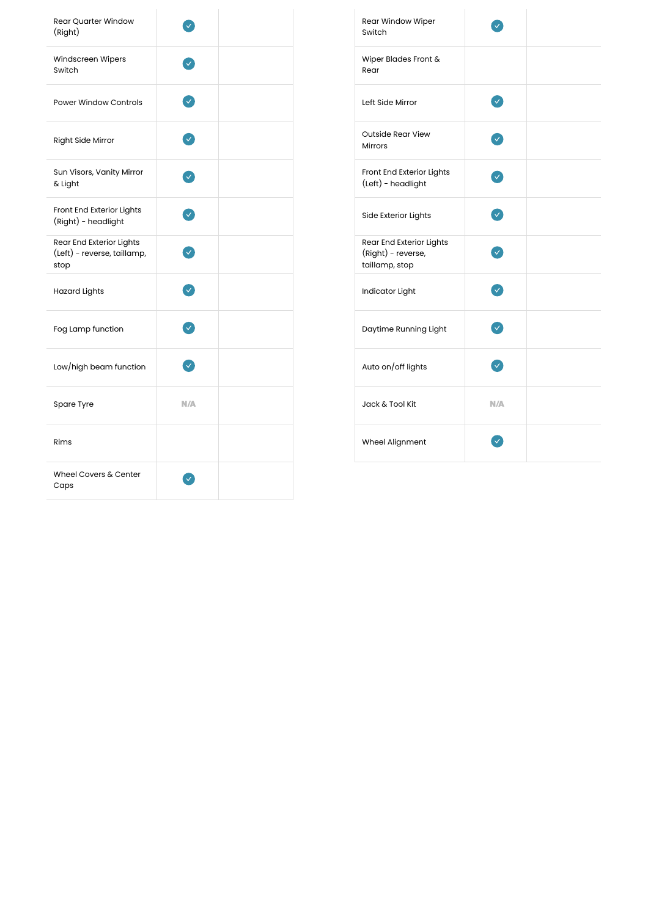| Rear Quarter Window<br>(Right)                                  |     |  | Rear Window Wiper<br>Switch                                      |
|-----------------------------------------------------------------|-----|--|------------------------------------------------------------------|
| Windscreen Wipers<br>Switch                                     |     |  | Wiper Blades Front &<br>Rear                                     |
| <b>Power Window Controls</b>                                    |     |  | Left Side Mirror                                                 |
| <b>Right Side Mirror</b>                                        |     |  | <b>Outside Rear View</b><br><b>Mirrors</b>                       |
| Sun Visors, Vanity Mirror<br>& Light                            |     |  | Front End Exterior Lights<br>(Left) - headlight                  |
| Front End Exterior Lights<br>(Right) - headlight                |     |  | Side Exterior Lights                                             |
| Rear End Exterior Lights<br>(Left) - reverse, taillamp,<br>stop |     |  | Rear End Exterior Lights<br>(Right) - reverse,<br>taillamp, stop |
| <b>Hazard Lights</b>                                            |     |  | Indicator Light                                                  |
| Fog Lamp function                                               |     |  | Daytime Running Light                                            |
| Low/high beam function                                          |     |  | Auto on/off lights                                               |
| Spare Tyre                                                      | N/A |  | Jack & Tool Kit                                                  |
| Rims                                                            |     |  | Wheel Alignment                                                  |
| Wheel Covers & Center<br>Caps                                   |     |  |                                                                  |

| Rear Window Wiper<br>Switch                                      |     |  |
|------------------------------------------------------------------|-----|--|
| Wiper Blades Front &<br>Rear                                     |     |  |
| Left Side Mirror                                                 |     |  |
| <b>Outside Rear View</b><br><b>Mirrors</b>                       |     |  |
| Front End Exterior Lights<br>(Left) - headlight                  |     |  |
| Side Exterior Lights                                             |     |  |
| Rear End Exterior Lights<br>(Right) - reverse,<br>taillamp, stop |     |  |
| Indicator Light                                                  |     |  |
| Daytime Running Light                                            |     |  |
| Auto on/off lights                                               |     |  |
| Jack & Tool Kit                                                  | N/A |  |
| Wheel Alignment                                                  |     |  |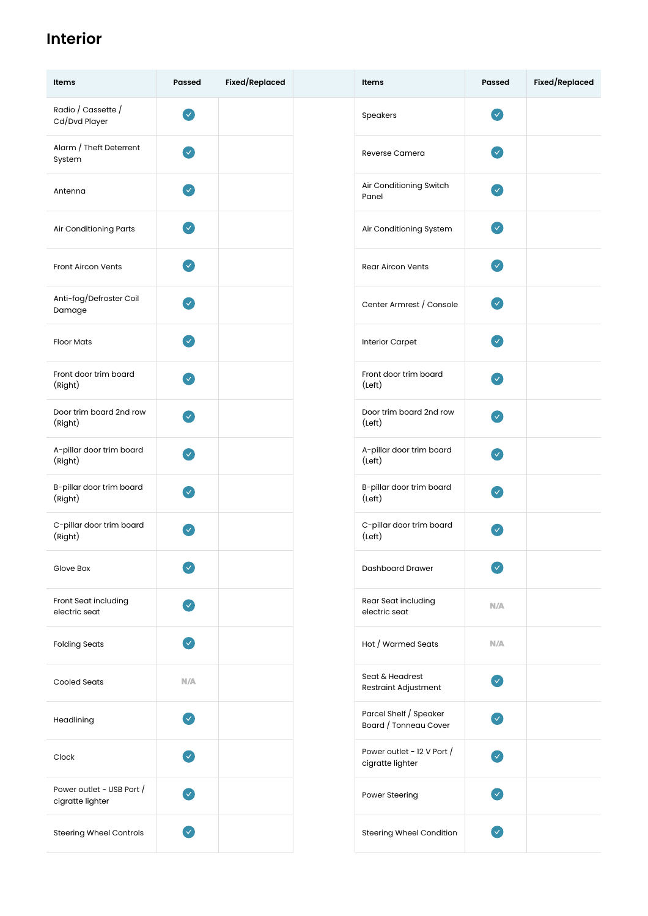### **Interior**

| Items                                         | <b>Passed</b>                | Fixed/Replaced | Items                                           | Passed                             | Fixed/Replaced |
|-----------------------------------------------|------------------------------|----------------|-------------------------------------------------|------------------------------------|----------------|
| Radio / Cassette /<br>Cd/Dvd Player           | $\sim$                       |                | Speakers                                        | $\sim$                             |                |
| Alarm / Theft Deterrent<br>System             | $\boldsymbol{\triangledown}$ |                | Reverse Camera                                  | $\boldsymbol{\mathcal{A}}$         |                |
| Antenna                                       | $\blacktriangledown$         |                | Air Conditioning Switch<br>Panel                | $\mathbf{v}$                       |                |
| Air Conditioning Parts                        | $\bullet$                    |                | Air Conditioning System                         | $\blacktriangledown$               |                |
| Front Aircon Vents                            | $\vee$                       |                | <b>Rear Aircon Vents</b>                        | $\mathbf{v}$                       |                |
| Anti-fog/Defroster Coil<br>Damage             | $\mathbf{v}$                 |                | Center Armrest / Console                        | $\mathcal{A}$                      |                |
| <b>Floor Mats</b>                             | $\mathcal{L}$                |                | <b>Interior Carpet</b>                          | V                                  |                |
| Front door trim board<br>(Right)              | $\mathcal{A}$                |                | Front door trim board<br>(Left)                 | $\checkmark$                       |                |
| Door trim board 2nd row<br>(Right)            | $\mathcal{L}$                |                | Door trim board 2nd row<br>(Left)               | V                                  |                |
| A-pillar door trim board<br>(Right)           | $\mathbf{v}$                 |                | A-pillar door trim board<br>(Left)              | $\mathbf{v}$                       |                |
| B-pillar door trim board<br>(Right)           | $\bullet$                    |                | B-pillar door trim board<br>(Left)              | $\sim$                             |                |
| C-pillar door trim board<br>(Right)           | $\mathcal{L}$                |                | C-pillar door trim board<br>(Left)              | $\mathcal{A}$                      |                |
| Glove Box                                     | $\checkmark$                 |                | Dashboard Drawer                                | $\checkmark$                       |                |
| Front Seat including<br>electric seat         | $\mathcal{L}$                |                | Rear Seat including<br>electric seat            | N/A                                |                |
| <b>Folding Seats</b>                          | $\mathcal{L}$                |                | Hot / Warmed Seats                              | N/A                                |                |
| <b>Cooled Seats</b>                           | N/A                          |                | Seat & Headrest<br>Restraint Adjustment         | $\bullet$                          |                |
| Headlining                                    | $\blacktriangledown$         |                | Parcel Shelf / Speaker<br>Board / Tonneau Cover | $\mathbf{v}$                       |                |
| Clock                                         | $\blacktriangledown$         |                | Power outlet - 12 V Port /<br>cigratte lighter  | V                                  |                |
| Power outlet - USB Port /<br>cigratte lighter | ✓                            |                | Power Steering                                  | $\mathbf{v}$                       |                |
| <b>Steering Wheel Controls</b>                | ✓                            |                | Steering Wheel Condition                        | $\left\vert \mathbf{v}\right\vert$ |                |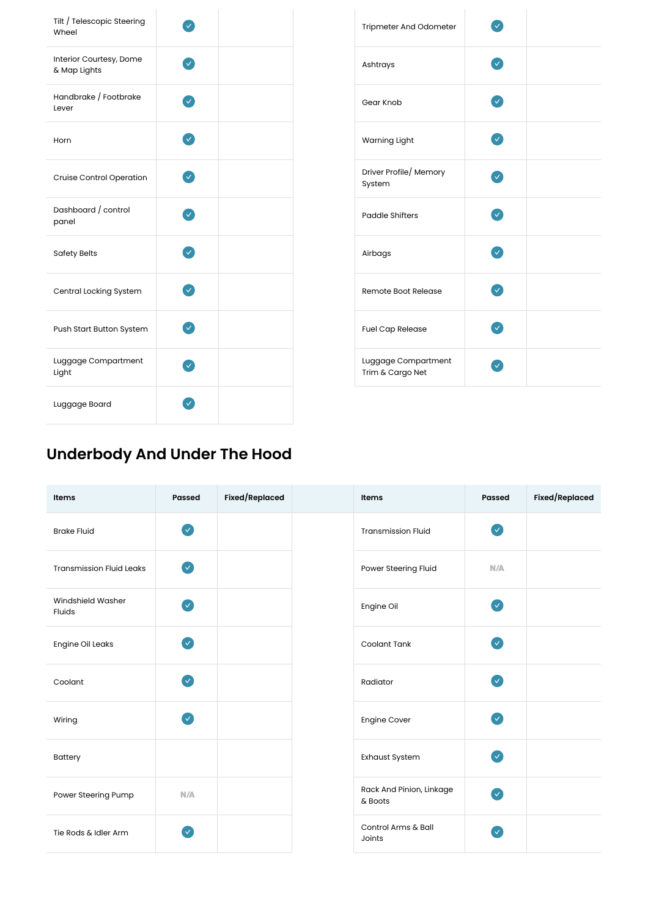| Tilt / Telescopic Steering<br>Wheel     |  | Tripmeter And Odomet                    |
|-----------------------------------------|--|-----------------------------------------|
| Interior Courtesy, Dome<br>& Map Lights |  | Ashtrays                                |
| Handbrake / Footbrake<br>Lever          |  | Gear Knob                               |
| Horn                                    |  | Warning Light                           |
| Cruise Control Operation                |  | Driver Profile/ Memory<br>System        |
| Dashboard / control<br>panel            |  | <b>Paddle Shifters</b>                  |
| <b>Safety Belts</b>                     |  | Airbags                                 |
| Central Locking System                  |  | Remote Boot Release                     |
| Push Start Button System                |  | <b>Fuel Cap Release</b>                 |
| Luggage Compartment<br>Light            |  | Luggage Compartment<br>Trim & Cargo Net |
| Luggage Board                           |  |                                         |
|                                         |  |                                         |

| Tripmeter And Odometer                  |              |  |
|-----------------------------------------|--------------|--|
| Ashtrays                                |              |  |
| Gear Knob                               | $\checkmark$ |  |
| Warning Light                           | V            |  |
| Driver Profile/ Memory<br>System        |              |  |
| <b>Paddle Shifters</b>                  | ⊽            |  |
| Airbags                                 | $\checkmark$ |  |
| Remote Boot Release                     | $\checkmark$ |  |
| <b>Fuel Cap Release</b>                 |              |  |
| Luggage Compartment<br>Trim & Cargo Net |              |  |

## **Underbody And Under The Hood**

| Items                           | Passed                     | Fixed/Replaced | Items                               | Passed                       | Fixed/Replaced |
|---------------------------------|----------------------------|----------------|-------------------------------------|------------------------------|----------------|
| <b>Brake Fluid</b>              | $\bullet$                  |                | <b>Transmission Fluid</b>           | $\bullet$                    |                |
| <b>Transmission Fluid Leaks</b> | $\bullet$                  |                | Power Steering Fluid                | N/A                          |                |
| Windshield Washer<br>Fluids     | $\boldsymbol{\omega}$      |                | Engine Oil                          | $\sqrt{}$                    |                |
| <b>Engine Oil Leaks</b>         | $\sim$                     |                | Coolant Tank                        | $\sim$                       |                |
| Coolant                         | $\boldsymbol{\mathcal{A}}$ |                | Radiator                            | $\sim$                       |                |
| Wiring                          | $\bullet$                  |                | <b>Engine Cover</b>                 | $\sim$                       |                |
| Battery                         |                            |                | Exhaust System                      | $\bullet$                    |                |
| Power Steering Pump             | N/A                        |                | Rack And Pinion, Linkage<br>& Boots | $\boldsymbol{\triangledown}$ |                |
| Tie Rods & Idler Arm            | $\sqrt{}$                  |                | Control Arms & Ball<br>Joints       | $\sim$                       |                |